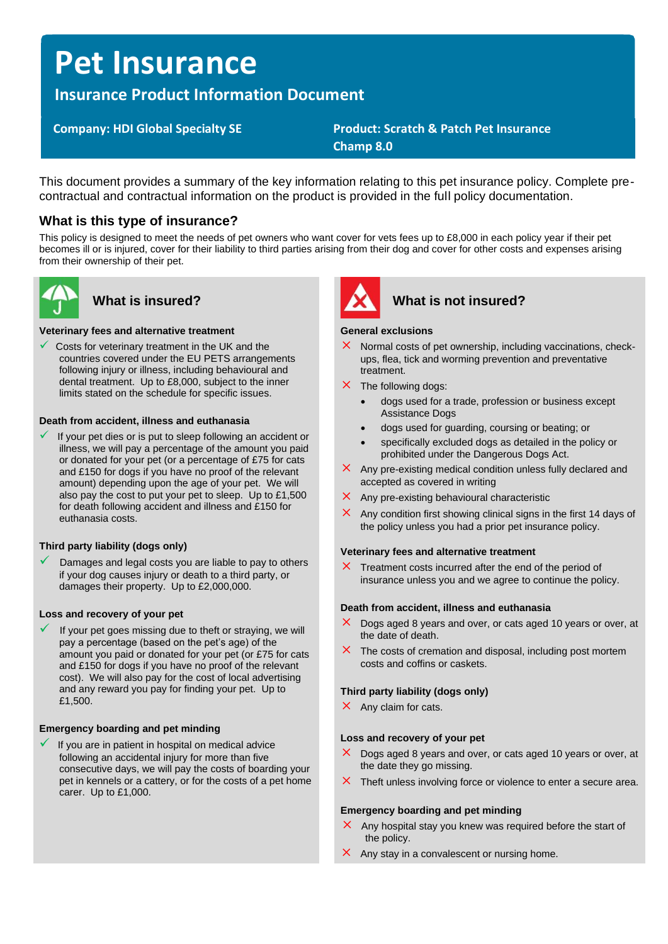# **Pet Insurance**

# **Insurance Product Information Document**

# **Company: HDI Global Specialty SE Product: Scratch & Patch Pet Insurance Champ 8.0**

This document provides a summary of the key information relating to this pet insurance policy. Complete precontractual and contractual information on the product is provided in the full policy documentation.

# **What is this type of insurance?**

This policy is designed to meet the needs of pet owners who want cover for vets fees up to £8,000 in each policy year if their pet becomes ill or is injured, cover for their liability to third parties arising from their dog and cover for other costs and expenses arising from their ownership of their pet.



### **Veterinary fees and alternative treatment**

Costs for veterinary treatment in the UK and the countries covered under the EU PETS arrangements following injury or illness, including behavioural and dental treatment. Up to £8,000, subject to the inner limits stated on the schedule for specific issues.

### **Death from accident, illness and euthanasia**

If your pet dies or is put to sleep following an accident or illness, we will pay a percentage of the amount you paid or donated for your pet (or a percentage of £75 for cats and £150 for dogs if you have no proof of the relevant amount) depending upon the age of your pet. We will also pay the cost to put your pet to sleep. Up to £1,500 for death following accident and illness and £150 for euthanasia costs.

### **Third party liability (dogs only)**

Damages and legal costs you are liable to pay to others if your dog causes injury or death to a third party, or damages their property. Up to £2,000,000.

### **Loss and recovery of your pet**

If your pet goes missing due to theft or straying, we will pay a percentage (based on the pet's age) of the amount you paid or donated for your pet (or £75 for cats and £150 for dogs if you have no proof of the relevant cost). We will also pay for the cost of local advertising and any reward you pay for finding your pet. Up to £1,500.

### **Emergency boarding and pet minding**

If you are in patient in hospital on medical advice following an accidental injury for more than five consecutive days, we will pay the costs of boarding your pet in kennels or a cattery, or for the costs of a pet home carer. Up to £1,000.



# What is insured? **What is not insured?**

#### **General exclusions**

- $\times$  Normal costs of pet ownership, including vaccinations, checkups, flea, tick and worming prevention and preventative treatment.
- $\times$  The following dogs:
	- dogs used for a trade, profession or business except Assistance Dogs
	- dogs used for guarding, coursing or beating; or
	- specifically excluded dogs as detailed in the policy or prohibited under the Dangerous Dogs Act.
- $\times$  Any pre-existing medical condition unless fully declared and accepted as covered in writing
- $\times$  Any pre-existing behavioural characteristic
- Any condition first showing clinical signs in the first 14 days of the policy unless you had a prior pet insurance policy.

#### **Veterinary fees and alternative treatment**

 $\times$  Treatment costs incurred after the end of the period of insurance unless you and we agree to continue the policy.

#### **Death from accident, illness and euthanasia**

- $\times$  Dogs aged 8 years and over, or cats aged 10 years or over, at the date of death.
- $\times$  The costs of cremation and disposal, including post mortem costs and coffins or caskets.

### **Third party liability (dogs only)**

 $\times$  Any claim for cats.

#### **Loss and recovery of your pet**

- $\times$  Dogs aged 8 years and over, or cats aged 10 years or over, at the date they go missing.
- $\times$  Theft unless involving force or violence to enter a secure area.

#### **Emergency boarding and pet minding**

- $\times$  Any hospital stay you knew was required before the start of the policy.
- $\times$  Any stay in a convalescent or nursing home.